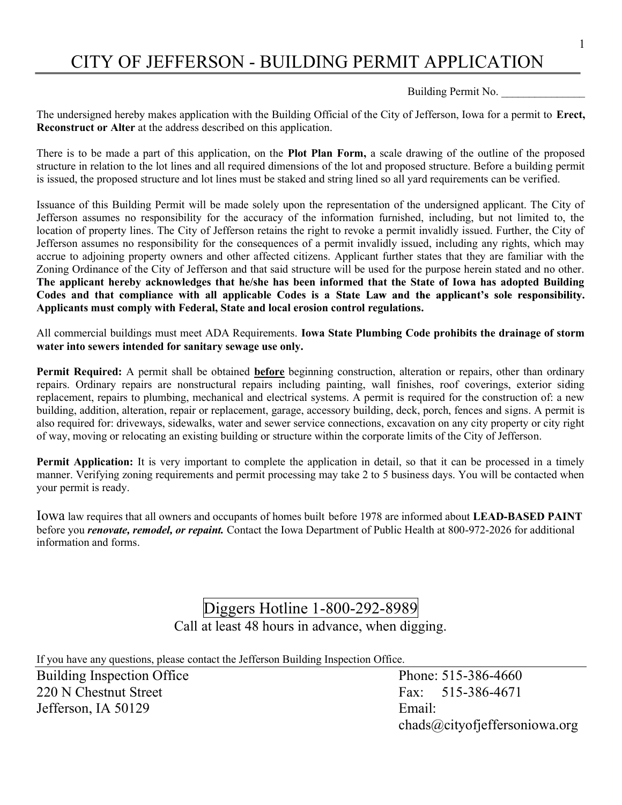## CITY OF JEFFERSON - BUILDING PERMIT APPLICATION

Building Permit No. \_\_\_\_\_\_\_\_\_\_\_\_\_\_\_

The undersigned hereby makes application with the Building Official of the City of Jefferson, Iowa for a permit to Erect, Reconstruct or Alter at the address described on this application.

There is to be made a part of this application, on the Plot Plan Form, a scale drawing of the outline of the proposed structure in relation to the lot lines and all required dimensions of the lot and proposed structure. Before a building permit is issued, the proposed structure and lot lines must be staked and string lined so all yard requirements can be verified.

Issuance of this Building Permit will be made solely upon the representation of the undersigned applicant. The City of Jefferson assumes no responsibility for the accuracy of the information furnished, including, but not limited to, the location of property lines. The City of Jefferson retains the right to revoke a permit invalidly issued. Further, the City of Jefferson assumes no responsibility for the consequences of a permit invalidly issued, including any rights, which may accrue to adjoining property owners and other affected citizens. Applicant further states that they are familiar with the Zoning Ordinance of the City of Jefferson and that said structure will be used for the purpose herein stated and no other. The applicant hereby acknowledges that he/she has been informed that the State of Iowa has adopted Building Codes and that compliance with all applicable Codes is a State Law and the applicant's sole responsibility. Applicants must comply with Federal, State and local erosion control regulations.

All commercial buildings must meet ADA Requirements. Iowa State Plumbing Code prohibits the drainage of storm water into sewers intended for sanitary sewage use only.

Permit Required: A permit shall be obtained before beginning construction, alteration or repairs, other than ordinary repairs. Ordinary repairs are nonstructural repairs including painting, wall finishes, roof coverings, exterior siding replacement, repairs to plumbing, mechanical and electrical systems. A permit is required for the construction of: a new building, addition, alteration, repair or replacement, garage, accessory building, deck, porch, fences and signs. A permit is also required for: driveways, sidewalks, water and sewer service connections, excavation on any city property or city right of way, moving or relocating an existing building or structure within the corporate limits of the City of Jefferson.

Permit Application: It is very important to complete the application in detail, so that it can be processed in a timely manner. Verifying zoning requirements and permit processing may take 2 to 5 business days. You will be contacted when your permit is ready.

Iowa law requires that all owners and occupants of homes built before 1978 are informed about LEAD-BASED PAINT before you *renovate, remodel, or repaint*. Contact the Iowa Department of Public Health at 800-972-2026 for additional information and forms.

## Diggers Hotline 1-800-292-8989 Call at least 48 hours in advance, when digging.

If you have any questions, please contact the Jefferson Building Inspection Office. Building Inspection Office Phone: 515-386-4660 220 N Chestnut Street Fax: 515-386-4671

Jefferson, IA 50129 Email: chads@cityofjeffersoniowa.org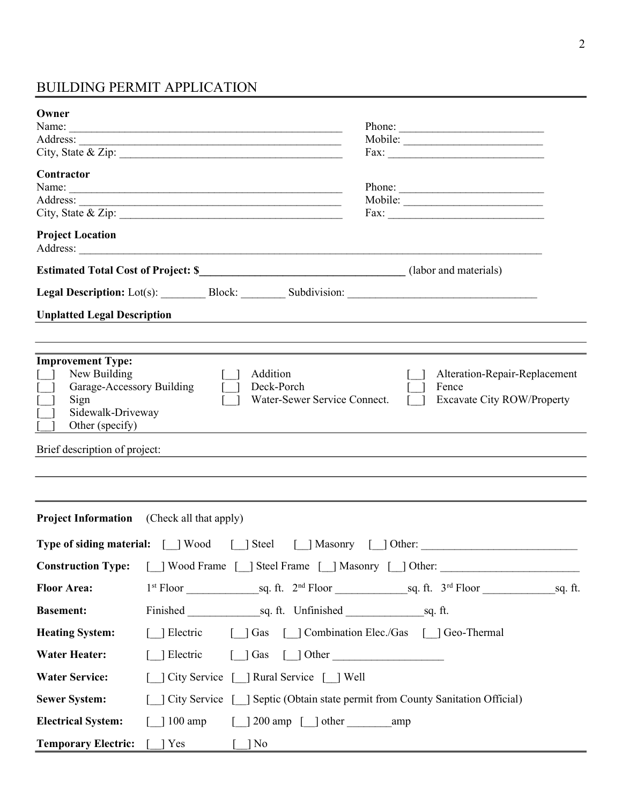### BUILDING PERMIT APPLICATION

| Owner<br>Name:                                                                                                        | Phone:<br><u> 1989 - Jan James James James James James James James James James James James James James James James James J</u>                                                                                                                                                                                                                        |  |  |
|-----------------------------------------------------------------------------------------------------------------------|-------------------------------------------------------------------------------------------------------------------------------------------------------------------------------------------------------------------------------------------------------------------------------------------------------------------------------------------------------|--|--|
| Contractor                                                                                                            | Fax:<br>Name:<br>Phone:<br>$\text{Fax:}$                                                                                                                                                                                                                                                                                                              |  |  |
| <b>Project Location</b>                                                                                               |                                                                                                                                                                                                                                                                                                                                                       |  |  |
|                                                                                                                       | Estimated Total Cost of Project: \$___________________________________(labor and materials)                                                                                                                                                                                                                                                           |  |  |
|                                                                                                                       | Legal Description: Lot(s): Block: ________ Subdivision: _________________________                                                                                                                                                                                                                                                                     |  |  |
| <b>Unplatted Legal Description</b>                                                                                    | and the control of the control of the control of the control of the control of the control of the control of the                                                                                                                                                                                                                                      |  |  |
|                                                                                                                       |                                                                                                                                                                                                                                                                                                                                                       |  |  |
| <b>Improvement Type:</b><br>New Building<br>Garage-Accessory Building<br>Sign<br>Sidewalk-Driveway<br>Other (specify) | Addition<br>Alteration-Repair-Replacement<br>Deck-Porch<br>Fence<br>Water-Sewer Service Connect.<br><b>Excavate City ROW/Property</b>                                                                                                                                                                                                                 |  |  |
| Brief description of project:                                                                                         |                                                                                                                                                                                                                                                                                                                                                       |  |  |
|                                                                                                                       |                                                                                                                                                                                                                                                                                                                                                       |  |  |
|                                                                                                                       |                                                                                                                                                                                                                                                                                                                                                       |  |  |
|                                                                                                                       | <b>Project Information</b> (Check all that apply)                                                                                                                                                                                                                                                                                                     |  |  |
|                                                                                                                       | <b>Type of siding material:</b> [ ] Wood [ ] Steel [ ] Masonry [ ] Other:                                                                                                                                                                                                                                                                             |  |  |
| <b>Construction Type:</b>                                                                                             | [ ] Wood Frame [ ] Steel Frame [ ] Masonry [ ] Other: __________________________                                                                                                                                                                                                                                                                      |  |  |
| <b>Floor Area:</b>                                                                                                    |                                                                                                                                                                                                                                                                                                                                                       |  |  |
| <b>Basement:</b>                                                                                                      |                                                                                                                                                                                                                                                                                                                                                       |  |  |
| [ ] Electric [ ] Gas [ ] Combination Elec./Gas [ ] Geo-Thermal<br><b>Heating System:</b>                              |                                                                                                                                                                                                                                                                                                                                                       |  |  |
| <b>Water Heater:</b>                                                                                                  | $\begin{bmatrix} 1 & 1 & 0 & 0 \\ 0 & 0 & 1 & 0 \\ 0 & 0 & 0 & 0 \\ 0 & 0 & 0 & 0 \\ 0 & 0 & 0 & 0 \\ 0 & 0 & 0 & 0 \\ 0 & 0 & 0 & 0 \\ 0 & 0 & 0 & 0 \\ 0 & 0 & 0 & 0 \\ 0 & 0 & 0 & 0 \\ 0 & 0 & 0 & 0 \\ 0 & 0 & 0 & 0 & 0 \\ 0 & 0 & 0 & 0 & 0 \\ 0 & 0 & 0 & 0 & 0 \\ 0 & 0 & 0 & 0 & 0 \\ 0 & 0 & 0 & 0 & 0 & 0 \\ 0 & $<br>$\lceil$ [ Electric |  |  |
| <b>Water Service:</b>                                                                                                 | [ ] City Service [ ] Rural Service [ ] Well                                                                                                                                                                                                                                                                                                           |  |  |
| <b>Sewer System:</b>                                                                                                  | [ ] City Service [ ] Septic (Obtain state permit from County Sanitation Official)                                                                                                                                                                                                                                                                     |  |  |
| <b>Electrical System:</b>                                                                                             | $\lceil$ 1 200 amp $\lceil$ other amp<br>$\lceil$ 100 amp                                                                                                                                                                                                                                                                                             |  |  |
| <b>Temporary Electric:</b> [ ] Yes                                                                                    | $\lceil \ \rceil$ No                                                                                                                                                                                                                                                                                                                                  |  |  |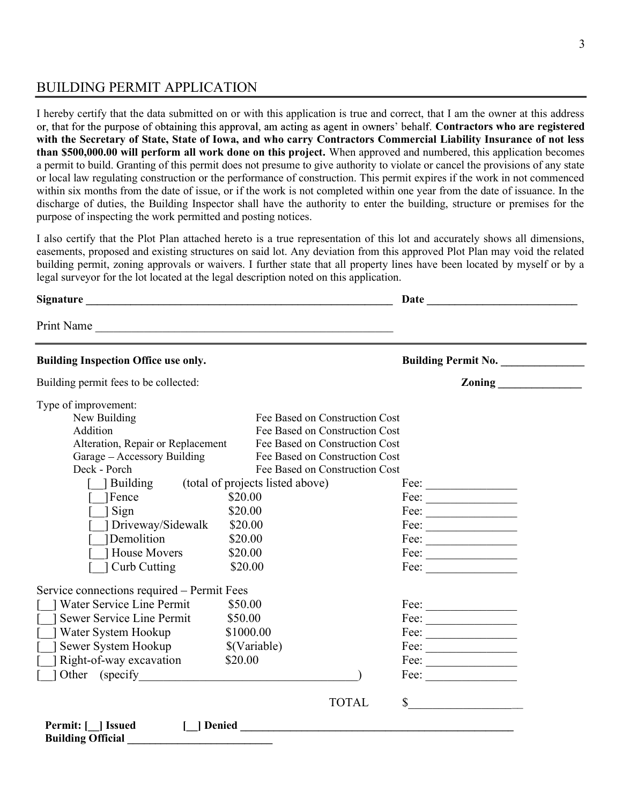#### BUILDING PERMIT APPLICATION

I hereby certify that the data submitted on or with this application is true and correct, that I am the owner at this address or, that for the purpose of obtaining this approval, am acting as agent in owners' behalf. Contractors who are registered with the Secretary of State, State of Iowa, and who carry Contractors Commercial Liability Insurance of not less than \$500,000.00 will perform all work done on this project. When approved and numbered, this application becomes a permit to build. Granting of this permit does not presume to give authority to violate or cancel the provisions of any state or local law regulating construction or the performance of construction. This permit expires if the work in not commenced within six months from the date of issue, or if the work is not completed within one year from the date of issuance. In the discharge of duties, the Building Inspector shall have the authority to enter the building, structure or premises for the purpose of inspecting the work permitted and posting notices.

I also certify that the Plot Plan attached hereto is a true representation of this lot and accurately shows all dimensions, easements, proposed and existing structures on said lot. Any deviation from this approved Plot Plan may void the related building permit, zoning approvals or waivers. I further state that all property lines have been located by myself or by a legal surveyor for the lot located at the legal description noted on this application.

| Print Name<br><b>Building Inspection Office use only.</b> |                                | <b>Building Permit No.</b>                                                                                                           |
|-----------------------------------------------------------|--------------------------------|--------------------------------------------------------------------------------------------------------------------------------------|
|                                                           |                                |                                                                                                                                      |
|                                                           |                                |                                                                                                                                      |
| Building permit fees to be collected:                     |                                | Zoning                                                                                                                               |
| Type of improvement:                                      |                                |                                                                                                                                      |
| New Building                                              | Fee Based on Construction Cost |                                                                                                                                      |
| Addition                                                  | Fee Based on Construction Cost |                                                                                                                                      |
| Alteration, Repair or Replacement                         | Fee Based on Construction Cost |                                                                                                                                      |
| Garage – Accessory Building                               | Fee Based on Construction Cost |                                                                                                                                      |
| Deck - Porch                                              | Fee Based on Construction Cost |                                                                                                                                      |
| Building (total of projects listed above)                 |                                | Fee: $\qquad \qquad$                                                                                                                 |
| <sup>1</sup> Fence                                        | \$20.00                        | $\text{Fee:}\n\qquad \qquad \qquad$                                                                                                  |
| 1 Sign                                                    | \$20.00                        | $\text{Fee:}\_\_\_\_\_\_\_\_\_\_\_\_\_\_\_\_\_\_\_\_\_\_\_\_\_\_\_\_$                                                                |
| Driveway/Sidewalk<br>\$20.00                              |                                | $\text{Fee:}\_\_\_\_\_\_\_\_\_\_\_\_\_\_\_\_\_\_\_\_\_\_\_\_\_\_\_\_$                                                                |
| 1Demolition                                               | \$20.00                        |                                                                                                                                      |
| House Movers                                              | \$20.00                        | $\text{Fee:}\n\qquad \qquad \qquad$                                                                                                  |
| Curb Cutting                                              | \$20.00                        | Fee: $\qquad \qquad$                                                                                                                 |
| Service connections required – Permit Fees                |                                |                                                                                                                                      |
| Water Service Line Permit                                 | \$50.00                        | $\text{Fee:}$                                                                                                                        |
| Sewer Service Line Permit                                 | \$50.00                        | $\text{Fee:}\underline{\hspace{1.5em}}$                                                                                              |
| Water System Hookup                                       | \$1000.00                      |                                                                                                                                      |
| Sewer System Hookup                                       | \$(Variable)                   | $\text{Fee:}\_\_\_\_\_\_\_\_\_\_\_\_\_\_\_\_\_\_\_\_\_\_\_\_\_\_\_\_\_\_$                                                            |
| Right-of-way excavation                                   | \$20.00                        | $\text{Fee:}\underline{\hspace{1.5cm}}$                                                                                              |
| 1 Other (specify)                                         |                                | $\text{Fee:}$                                                                                                                        |
|                                                           | <b>TOTAL</b>                   | $\mathbb{S}$<br><u> 1980 - Jan Stein Stein Stein Stein Stein Stein Stein Stein Stein Stein Stein Stein Stein Stein Stein Stein S</u> |
| Permit: [ ] Issued<br><b>Building Official</b>            | [ ] Denied                     |                                                                                                                                      |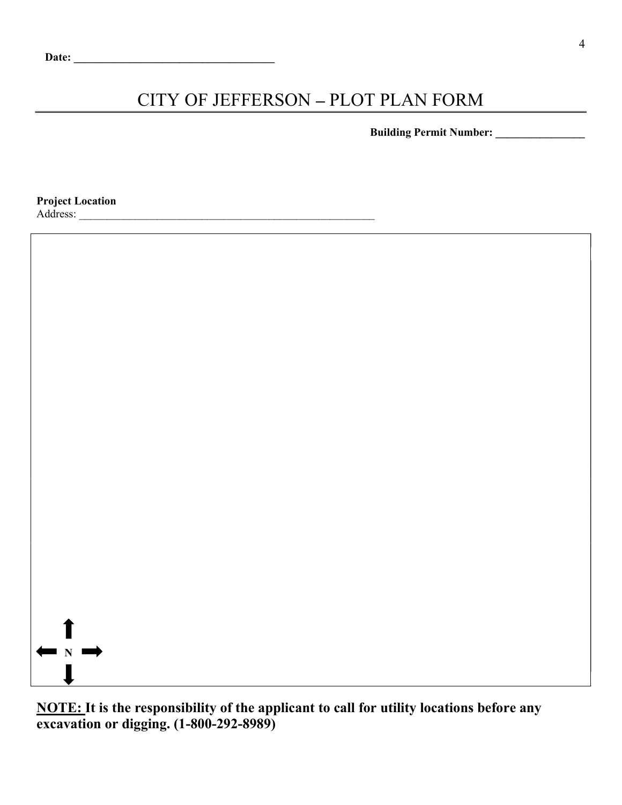# CITY OF JEFFERSON - PLOT PLAN FORM

Building Permit Number:

Project Location

Address:



NOTE: It is the responsibility of the applicant to call for utility locations before any excavation or digging. (1-800-292-8989)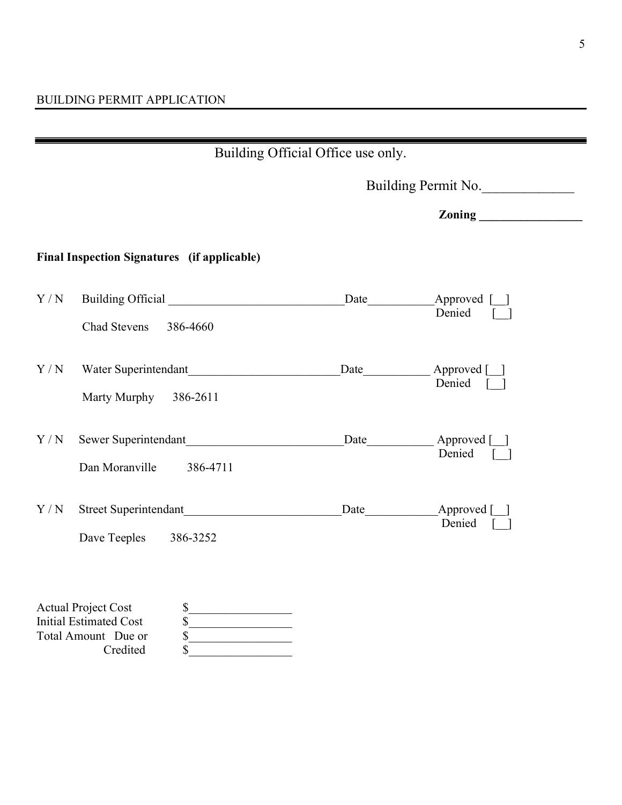| Building Official Office use only. |                                                                                                      |                     |                                 |  |  |
|------------------------------------|------------------------------------------------------------------------------------------------------|---------------------|---------------------------------|--|--|
|                                    |                                                                                                      | Building Permit No. |                                 |  |  |
|                                    |                                                                                                      |                     |                                 |  |  |
|                                    | <b>Final Inspection Signatures</b> (if applicable)                                                   |                     |                                 |  |  |
| Y/N                                | Chad Stevens<br>386-4660                                                                             |                     | Approved [1]<br>Denied          |  |  |
| Y/N                                | Water Superintendant<br>Marty Murphy 386-2611                                                        | Date                | Approved [ ]<br>Denied [ ]      |  |  |
| Y/N                                | Sewer Superintendant<br>Dan Moranville<br>386-4711                                                   |                     | Date Approved [ ]<br>Denied [ ] |  |  |
| Y/N                                | Street Superintendant<br>Dave Teeples 386-3252                                                       |                     | Date Approved []<br>Denied [ ]  |  |  |
|                                    | <b>Actual Project Cost</b><br>\$<br>\$<br><b>Initial Estimated Cost</b><br>\$<br>Total Amount Due or |                     |                                 |  |  |

Credited \$